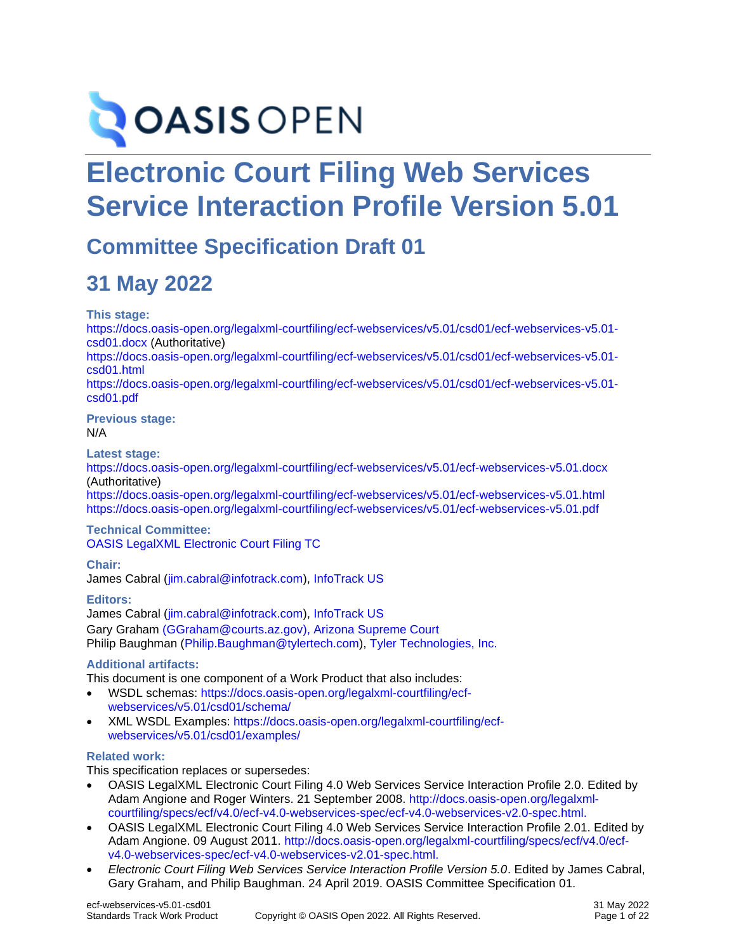# **OASIS OPEN**

# **Electronic Court Filing Web Services Service Interaction Profile Version 5.01**

# **Committee Specification Draft 01**

# **31 May 2022**

**This stage:**

[https://docs.oasis-open.org/legalxml-courtfiling/ecf-webservices/v5.01/csd01/ecf-webservices-v5.01](https://docs.oasis-open.org/legalxml-courtfiling/ecf-webservices/v5.01/csd01/ecf-webservices-v5.01-csd01.docx) [csd01.docx](https://docs.oasis-open.org/legalxml-courtfiling/ecf-webservices/v5.01/csd01/ecf-webservices-v5.01-csd01.docx) (Authoritative) [https://docs.oasis-open.org/legalxml-courtfiling/ecf-webservices/v5.01/csd01/ecf-webservices-v5.01](https://docs.oasis-open.org/legalxml-courtfiling/ecf-webservices/v5.01/csd01/ecf-webservices-v5.01-csd01.html) [csd01.html](https://docs.oasis-open.org/legalxml-courtfiling/ecf-webservices/v5.01/csd01/ecf-webservices-v5.01-csd01.html) [https://docs.oasis-open.org/legalxml-courtfiling/ecf-webservices/v5.01/csd01/ecf-webservices-v5.01](https://docs.oasis-open.org/legalxml-courtfiling/ecf-webservices/v5.01/csd01/ecf-webservices-v5.01-csd01.pdf) [csd01.pdf](https://docs.oasis-open.org/legalxml-courtfiling/ecf-webservices/v5.01/csd01/ecf-webservices-v5.01-csd01.pdf)

**Previous stage:** N/A

**Latest stage:**

<https://docs.oasis-open.org/legalxml-courtfiling/ecf-webservices/v5.01/ecf-webservices-v5.01.docx> (Authoritative)

<https://docs.oasis-open.org/legalxml-courtfiling/ecf-webservices/v5.01/ecf-webservices-v5.01.html> <https://docs.oasis-open.org/legalxml-courtfiling/ecf-webservices/v5.01/ecf-webservices-v5.01.pdf>

#### **Technical Committee:** [OASIS LegalXML Electronic Court Filing TC](https://www.oasis-open.org/committees/legalxml-courtfiling/)

**Chair:**

James Cabral [\(jim.cabral@infotrack.com\)](mailto:jcabral@mtgmc.com), [InfoTrack US](https://www.infotrack.com/)

**Editors:** James Cabral [\(jim.cabral@infotrack.com\)](mailto:jcabral@mtgmc.com), [InfoTrack US](https://www.infotrack.com/) Gary Graham [\(GGraham@courts.az.gov\)](mailto:GGraham@courts.az.gov), [Arizona Supreme Court](http://www.azcourts.gov/) Philip Baughman [\(Philip.Baughman@tylertech.com\)](mailto:Philip.Baughman@tylertech.com), [Tyler Technologies, Inc.](http://www.tylertech.com/)

#### **Additional artifacts:**

This document is one component of a Work Product that also includes:

- WSDL schemas: [https://docs.oasis-open.org/legalxml-courtfiling/ecf](https://docs.oasis-open.org/legalxml-courtfiling/ecf-webservices/v5.01/csd01/schema/)[webservices/v5.01/csd01/schema/](https://docs.oasis-open.org/legalxml-courtfiling/ecf-webservices/v5.01/csd01/schema/)
- XML WSDL Examples: [https://docs.oasis-open.org/legalxml-courtfiling/ecf](https://docs.oasis-open.org/legalxml-courtfiling/ecf-webservices/v5.01/csd01/examples/)[webservices/v5.01/csd01/examples/](https://docs.oasis-open.org/legalxml-courtfiling/ecf-webservices/v5.01/csd01/examples/)

#### **Related work:**

This specification replaces or supersedes:

- OASIS LegalXML Electronic Court Filing 4.0 Web Services Service Interaction Profile 2.0. Edited by Adam Angione and Roger Winters. 21 September 2008. [http://docs.oasis-open.org/legalxml](http://docs.oasis-open.org/legalxml-courtfiling/specs/ecf/v4.0/ecf-v4.0-webservices-spec/ecf-v4.0-webservices-v2.0-spec.html)[courtfiling/specs/ecf/v4.0/ecf-v4.0-webservices-spec/ecf-v4.0-webservices-v2.0-spec.html.](http://docs.oasis-open.org/legalxml-courtfiling/specs/ecf/v4.0/ecf-v4.0-webservices-spec/ecf-v4.0-webservices-v2.0-spec.html)
- OASIS LegalXML Electronic Court Filing 4.0 Web Services Service Interaction Profile 2.01. Edited by Adam Angione. 09 August 2011. [http://docs.oasis-open.org/legalxml-courtfiling/specs/ecf/v4.0/ecf](http://docs.oasis-open.org/legalxml-courtfiling/specs/ecf/v4.0/ecf-v4.0-webservices-spec/ecf-v4.0-webservices-v2.01-spec.html)[v4.0-webservices-spec/ecf-v4.0-webservices-v2.01-spec.html.](http://docs.oasis-open.org/legalxml-courtfiling/specs/ecf/v4.0/ecf-v4.0-webservices-spec/ecf-v4.0-webservices-v2.01-spec.html)
- *Electronic Court Filing Web Services Service Interaction Profile Version 5.0*. Edited by James Cabral, Gary Graham, and Philip Baughman. 24 April 2019. OASIS Committee Specification 01.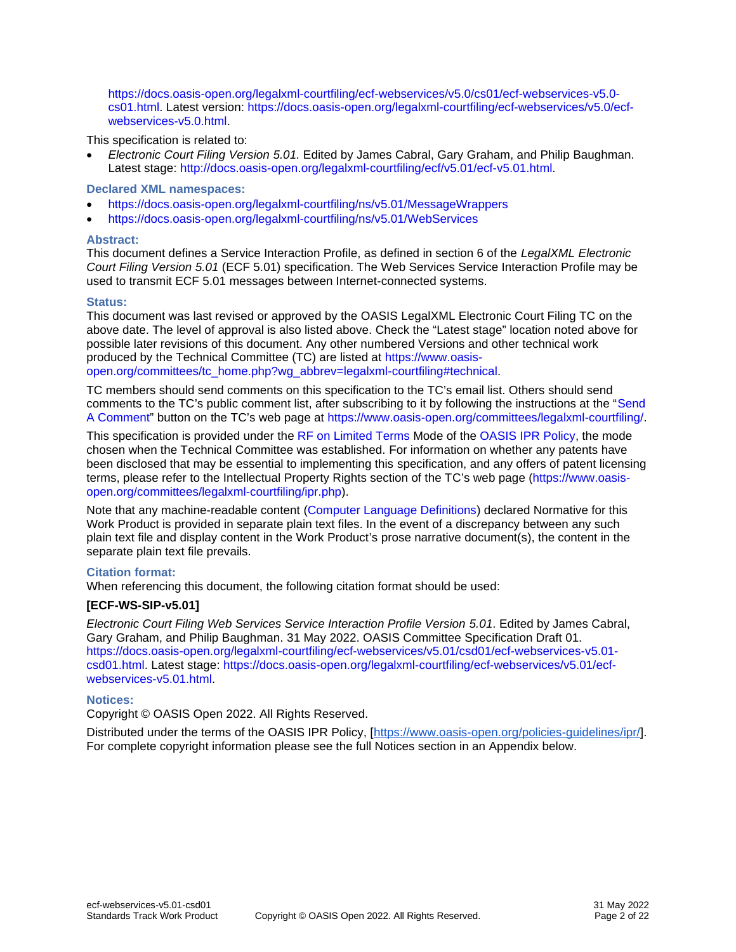[https://docs.oasis-open.org/legalxml-courtfiling/ecf-webservices/v5.0/cs01/ecf-webservices-v5.0](https://docs.oasis-open.org/legalxml-courtfiling/ecf-webservices/v5.0/cs01/ecf-webservices-v5.0-cs01.html) [cs01.html.](https://docs.oasis-open.org/legalxml-courtfiling/ecf-webservices/v5.0/cs01/ecf-webservices-v5.0-cs01.html) Latest version: [https://docs.oasis-open.org/legalxml-courtfiling/ecf-webservices/v5.0/ecf](https://docs.oasis-open.org/legalxml-courtfiling/ecf-webservices/v5.0/ecf-webservices-v5.0.html)[webservices-v5.0.html.](https://docs.oasis-open.org/legalxml-courtfiling/ecf-webservices/v5.0/ecf-webservices-v5.0.html)

This specification is related to:

• *Electronic Court Filing Version 5.01.* Edited by James Cabral, Gary Graham, and Philip Baughman. Latest stage: http://docs.oasis-open.org/legalxml-courtfiling/ecf/v5.01/ecf-v5.01.html

#### **Declared XML namespaces:**

- <https://docs.oasis-open.org/legalxml-courtfiling/ns/v5.01/MessageWrappers>
- <https://docs.oasis-open.org/legalxml-courtfiling/ns/v5.01/WebServices>

#### **Abstract:**

This document defines a Service Interaction Profile, as defined in section 6 of the *LegalXML Electronic Court Filing Version 5.01* (ECF 5.01) specification. The Web Services Service Interaction Profile may be used to transmit ECF 5.01 messages between Internet-connected systems.

#### **Status:**

This document was last revised or approved by the OASIS LegalXML Electronic Court Filing TC on the above date. The level of approval is also listed above. Check the "Latest stage" location noted above for possible later revisions of this document. Any other numbered Versions and other technical work produced by the Technical Committee (TC) are listed at [https://www.oasis](https://www.oasis-open.org/committees/tc_home.php?wg_abbrev=legalxml-courtfiling#technical)[open.org/committees/tc\\_home.php?wg\\_abbrev=legalxml-courtfiling#technical.](https://www.oasis-open.org/committees/tc_home.php?wg_abbrev=legalxml-courtfiling#technical)

TC members should send comments on this specification to the TC's email list. Others should send comments to the TC's public comment list, after subscribing to it by following the instructions at the "[Send](https://www.oasis-open.org/committees/comments/index.php?wg_abbrev=legalxml-courtfiling)  [A Comment](https://www.oasis-open.org/committees/comments/index.php?wg_abbrev=legalxml-courtfiling)" button on the TC's web page at [https://www.oasis-open.org/committees/legalxml-courtfiling/.](https://www.oasis-open.org/committees/legalxml-courtfiling/)

This specification is provided under the [RF on Limited Terms](https://www.oasis-open.org/policies-guidelines/ipr/#RF-on-Limited-Mode) Mode of the [OASIS IPR Policy,](https://www.oasis-open.org/policies-guidelines/ipr/) the mode chosen when the Technical Committee was established. For information on whether any patents have been disclosed that may be essential to implementing this specification, and any offers of patent licensing terms, please refer to the Intellectual Property Rights section of the TC's web page [\(https://www.oasis](https://www.oasis-open.org/committees/legalxml-courtfiling/ipr.php)[open.org/committees/legalxml-courtfiling/ipr.php\)](https://www.oasis-open.org/committees/legalxml-courtfiling/ipr.php).

Note that any machine-readable content [\(Computer Language Definitions\)](https://www.oasis-open.org/policies-guidelines/tc-process-2017-05-26/#wpComponentsCompLang) declared Normative for this Work Product is provided in separate plain text files. In the event of a discrepancy between any such plain text file and display content in the Work Product's prose narrative document(s), the content in the separate plain text file prevails.

#### **Citation format:**

When referencing this document, the following citation format should be used:

#### **[ECF-WS-SIP-v5.01]**

*Electronic Court Filing Web Services Service Interaction Profile Version 5.01*. Edited by James Cabral, Gary Graham, and Philip Baughman. 31 May 2022. OASIS Committee Specification Draft 01. [https://docs.oasis-open.org/legalxml-courtfiling/ecf-webservices/v5.01/csd01/ecf-webservices-v5.01](https://docs.oasis-open.org/legalxml-courtfiling/ecf-webservices/v5.01/csd01/ecf-webservices-v5.01-csd01.html) [csd01.html.](https://docs.oasis-open.org/legalxml-courtfiling/ecf-webservices/v5.01/csd01/ecf-webservices-v5.01-csd01.html) Latest stage: [https://docs.oasis-open.org/legalxml-courtfiling/ecf-webservices/v5.01/ecf](https://docs.oasis-open.org/legalxml-courtfiling/ecf-webservices/v5.01/ecf-webservices-v5.01.html)[webservices-v5.01.html.](https://docs.oasis-open.org/legalxml-courtfiling/ecf-webservices/v5.01/ecf-webservices-v5.01.html)

#### **Notices:**

Copyright © OASIS Open 2022. All Rights Reserved.

Distributed under the terms of the OASIS IPR Policy, [\[https://www.oasis-open.org/policies-guidelines/ipr/\]](https://www.oasis-open.org/policies-guidelines/ipr/). For complete copyright information please see the full Notices section in an Appendix below.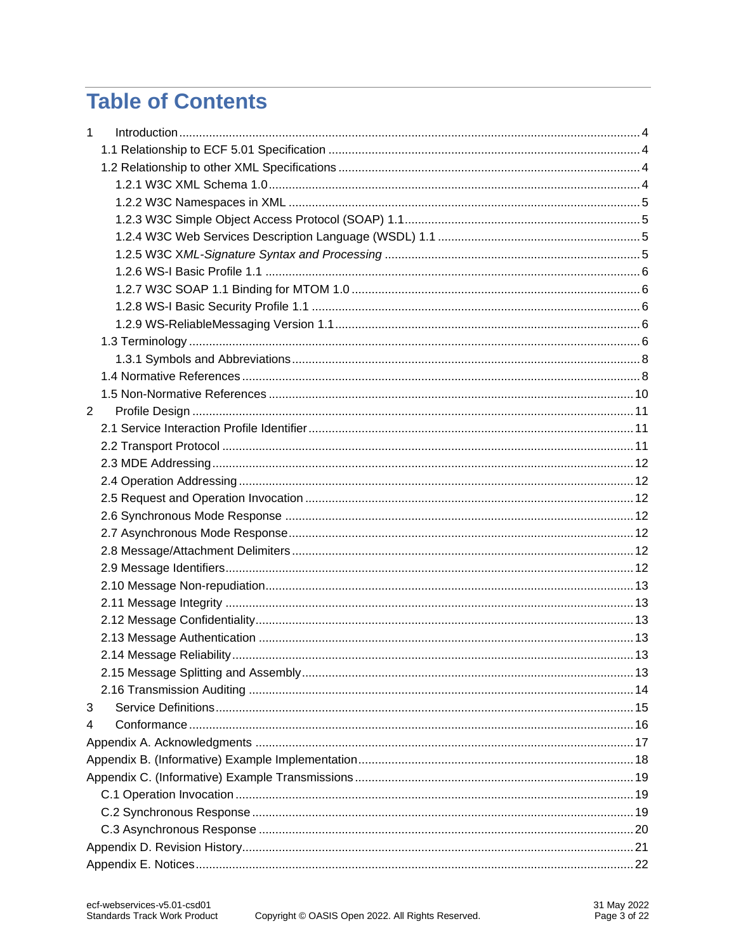# **Table of Contents**

| $\mathbf{1}$ |  |  |  |  |  |
|--------------|--|--|--|--|--|
|              |  |  |  |  |  |
|              |  |  |  |  |  |
|              |  |  |  |  |  |
|              |  |  |  |  |  |
|              |  |  |  |  |  |
|              |  |  |  |  |  |
|              |  |  |  |  |  |
|              |  |  |  |  |  |
|              |  |  |  |  |  |
|              |  |  |  |  |  |
|              |  |  |  |  |  |
|              |  |  |  |  |  |
|              |  |  |  |  |  |
|              |  |  |  |  |  |
|              |  |  |  |  |  |
| 2            |  |  |  |  |  |
|              |  |  |  |  |  |
|              |  |  |  |  |  |
|              |  |  |  |  |  |
|              |  |  |  |  |  |
|              |  |  |  |  |  |
|              |  |  |  |  |  |
|              |  |  |  |  |  |
|              |  |  |  |  |  |
|              |  |  |  |  |  |
|              |  |  |  |  |  |
|              |  |  |  |  |  |
|              |  |  |  |  |  |
|              |  |  |  |  |  |
|              |  |  |  |  |  |
|              |  |  |  |  |  |
|              |  |  |  |  |  |
| 3            |  |  |  |  |  |
| 4            |  |  |  |  |  |
|              |  |  |  |  |  |
|              |  |  |  |  |  |
|              |  |  |  |  |  |
|              |  |  |  |  |  |
|              |  |  |  |  |  |
|              |  |  |  |  |  |
|              |  |  |  |  |  |
|              |  |  |  |  |  |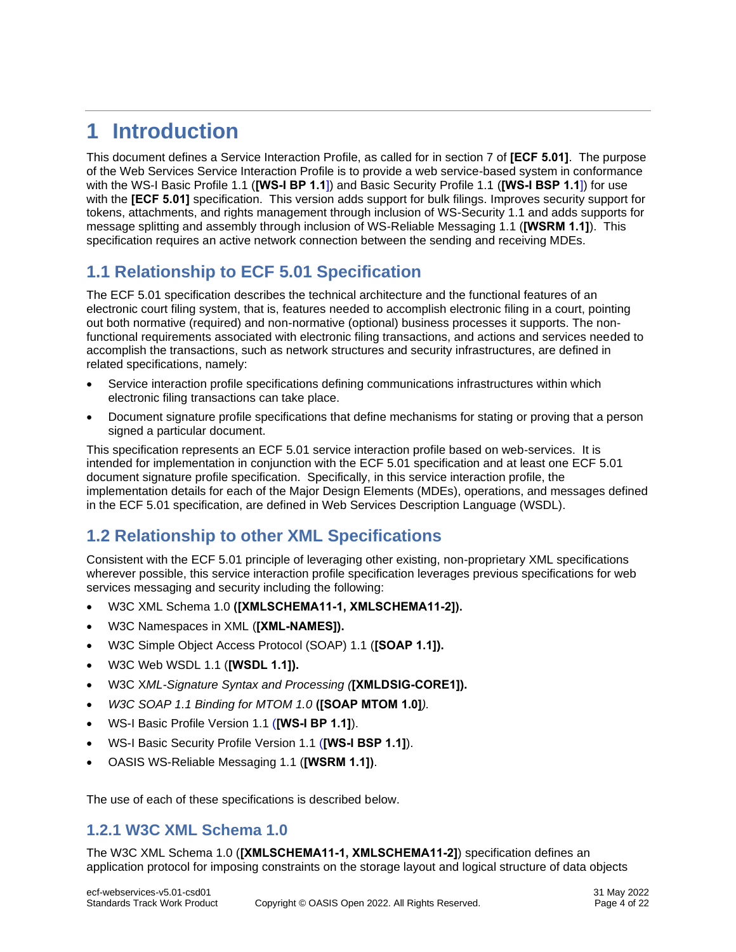# <span id="page-3-0"></span>**1 Introduction**

This document defines a Service Interaction Profile, as called for in section 7 of **[\[ECF 5.01\]](#page-7-2)**. The purpose of the Web Services Service Interaction Profile is to provide a web service-based system in conformance with the WS-I Basic Profile 1.1 (**[\[WS-I BP 1.1](#page-8-0)**]) and Basic Security Profile 1.1 (**[\[WS-I BSP 1.1](#page-8-1)**]) for use with the **[\[ECF 5.01\]](#page-7-2)** specification. This version adds support for bulk filings. Improves security support for tokens, attachments, and rights management through inclusion of WS-Security 1.1 and adds supports for message splitting and assembly through inclusion of WS-Reliable Messaging 1.1 (**[\[WSRM 1.1\]](#page-8-2)**). This specification requires an active network connection between the sending and receiving MDEs.

# <span id="page-3-1"></span>**1.1 Relationship to ECF 5.01 Specification**

The ECF 5.01 specification describes the technical architecture and the functional features of an electronic court filing system, that is, features needed to accomplish electronic filing in a court, pointing out both normative (required) and non-normative (optional) business processes it supports. The nonfunctional requirements associated with electronic filing transactions, and actions and services needed to accomplish the transactions, such as network structures and security infrastructures, are defined in related specifications, namely:

- Service interaction profile specifications defining communications infrastructures within which electronic filing transactions can take place.
- Document signature profile specifications that define mechanisms for stating or proving that a person signed a particular document.

This specification represents an ECF 5.01 service interaction profile based on web-services. It is intended for implementation in conjunction with the ECF 5.01 specification and at least one ECF 5.01 document signature profile specification. Specifically, in this service interaction profile, the implementation details for each of the Major Design Elements (MDEs), operations, and messages defined in the ECF 5.01 specification, are defined in Web Services Description Language (WSDL).

# <span id="page-3-2"></span>**1.2 Relationship to other XML Specifications**

Consistent with the ECF 5.01 principle of leveraging other existing, non-proprietary XML specifications wherever possible, this service interaction profile specification leverages previous specifications for web services messaging and security including the following:

- W3C XML Schema 1.0 **([\[XMLSCHEMA11-1,](#page-8-3) [XMLSCHEMA11-2\]](#page-8-4)).**
- W3C Namespaces in XML (**[\[XML-NAMES\]](#page-7-3)).**
- W3C Simple Object Access Protocol (SOAP) 1.1 (**[\[SOAP 1.1\]](#page-8-5)).**
- W3C Web WSDL 1.1 (**[\[WSDL 1.1\]](#page-8-6)).**
- W3C X*ML-Signature Syntax and Processing (***[\[XMLDSIG-CORE1\]](#page-8-7)).**
- *W3C SOAP 1.1 Binding for MTOM 1.0* **[\(\[SOAP MTOM 1.0\]](#page-8-8)***).*
- WS-I Basic Profile Version 1.1 (**[\[WS-I BP 1.1\]](#page-8-0)**).
- WS-I Basic Security Profile Version 1.1 (**[\[WS-I BSP 1.1\]](#page-8-1)**).
- OASIS WS-Reliable Messaging 1.1 (**[\[WSRM 1.1\]\)](#page-8-2)**.

The use of each of these specifications is described below.

### <span id="page-3-3"></span>**1.2.1 W3C XML Schema 1.0**

The W3C XML Schema 1.0 (**[\[XMLSCHEMA11-1,](#page-8-3) [XMLSCHEMA11-2\]](#page-8-4)**) specification defines an application protocol for imposing constraints on the storage layout and logical structure of data objects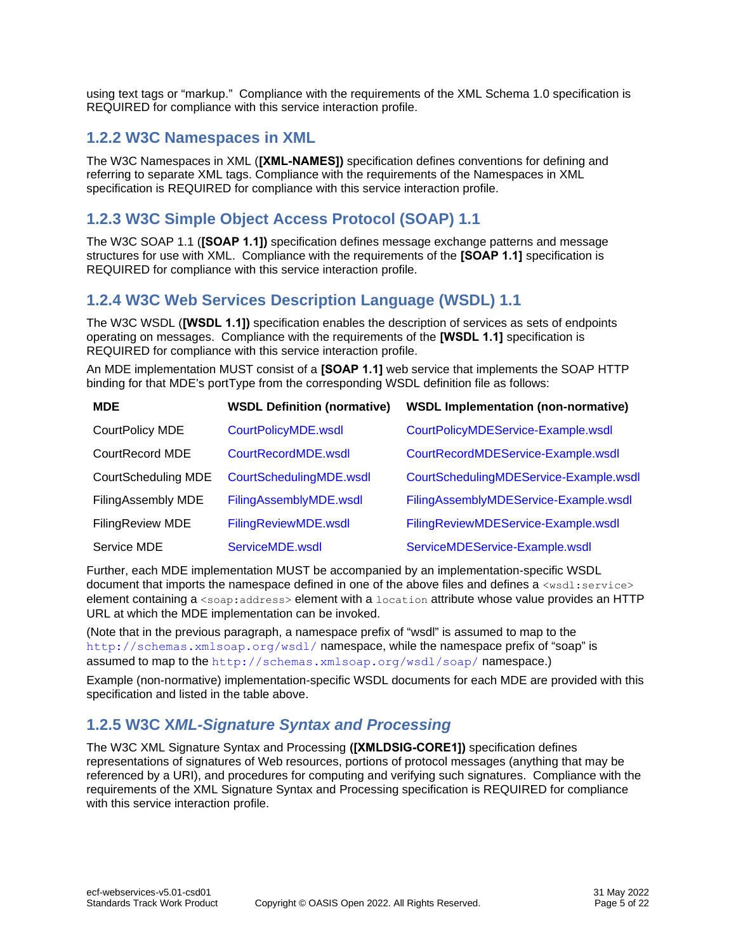using text tags or "markup." Compliance with the requirements of the XML Schema 1.0 specification is REQUIRED for compliance with this service interaction profile.

### <span id="page-4-0"></span>**1.2.2 W3C Namespaces in XML**

The W3C Namespaces in XML (**[\[XML-NAMES\]](#page-7-3))** specification defines conventions for defining and referring to separate XML tags. Compliance with the requirements of the Namespaces in XML specification is REQUIRED for compliance with this service interaction profile.

### <span id="page-4-1"></span>**1.2.3 W3C Simple Object Access Protocol (SOAP) 1.1**

The W3C SOAP 1.1 (**[\[SOAP 1.1\]](#page-8-5))** specification defines message exchange patterns and message structures for use with XML. Compliance with the requirements of the **[\[SOAP 1.1\]](#page-8-5)** specification is REQUIRED for compliance with this service interaction profile.

### <span id="page-4-2"></span>**1.2.4 W3C Web Services Description Language (WSDL) 1.1**

The W3C WSDL (**[\[WSDL 1.1\]](#page-8-6))** specification enables the description of services as sets of endpoints operating on messages. Compliance with the requirements of the **[\[WSDL 1.1\]](#page-8-6)** specification is REQUIRED for compliance with this service interaction profile.

An MDE implementation MUST consist of a **[\[SOAP 1.1\]](#page-8-5)** web service that implements the SOAP HTTP binding for that MDE's portType from the corresponding WSDL definition file as follows:

| <b>MDE</b>          | <b>WSDL Definition (normative)</b> | <b>WSDL Implementation (non-normative)</b> |  |
|---------------------|------------------------------------|--------------------------------------------|--|
| CourtPolicy MDE     | CourtPolicyMDE.wsdl                | CourtPolicyMDEService-Example.wsdl         |  |
| CourtRecord MDE     | CourtRecordMDE.wsdl                | CourtRecordMDEService-Example.wsdl         |  |
| CourtScheduling MDE | CourtSchedulingMDE.wsdl            | CourtSchedulingMDEService-Example.wsdl     |  |
| FilingAssembly MDE  | FilingAssemblyMDE.wsdl             | FilingAssemblyMDEService-Example.wsdl      |  |
| FilingReview MDE    | FilingReviewMDE.wsdl               | FilingReviewMDEService-Example.wsdl        |  |
| Service MDE         | ServiceMDE.wsdl                    | ServiceMDEService-Example.wsdl             |  |

Further, each MDE implementation MUST be accompanied by an implementation-specific WSDL document that imports the namespace defined in one of the above files and defines a  $\langle$ wsdl:service> element containing a <soap:address> element with a location attribute whose value provides an HTTP URL at which the MDE implementation can be invoked.

(Note that in the previous paragraph, a namespace prefix of "wsdl" is assumed to map to the <http://schemas.xmlsoap.org/wsdl/> namespace, while the namespace prefix of "soap" is assumed to map to the <http://schemas.xmlsoap.org/wsdl/soap/> namespace.)

Example (non-normative) implementation-specific WSDL documents for each MDE are provided with this specification and listed in the table above.

### <span id="page-4-3"></span>**1.2.5 W3C X***ML-Signature Syntax and Processing*

The W3C XML Signature Syntax and Processing **[\(\[XMLDSIG-CORE1\]](#page-8-7))** specification defines representations of signatures of Web resources, portions of protocol messages (anything that may be referenced by a URI), and procedures for computing and verifying such signatures. Compliance with the requirements of the XML Signature Syntax and Processing specification is REQUIRED for compliance with this service interaction profile.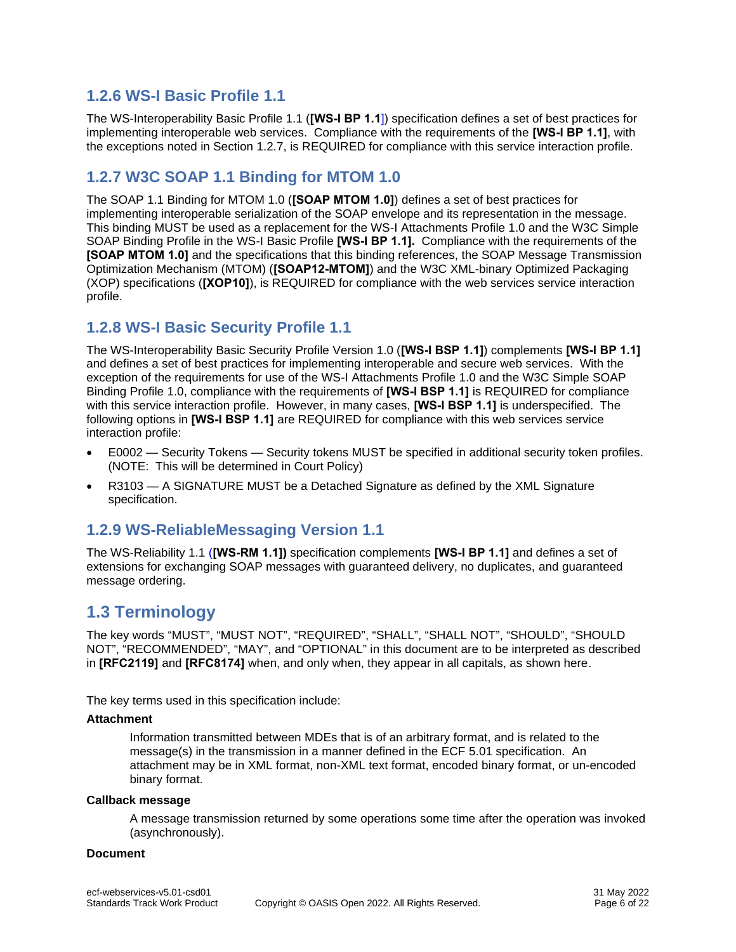### <span id="page-5-0"></span>**1.2.6 WS-I Basic Profile 1.1**

The WS-Interoperability Basic Profile 1.1 (**[\[WS-I BP 1.1](#page-8-0)**]) specification defines a set of best practices for implementing interoperable web services. Compliance with the requirements of the **[\[WS-I BP 1.1\]](#page-8-0)**, with the exceptions noted in Section 1.2.7, is REQUIRED for compliance with this service interaction profile.

### <span id="page-5-1"></span>**1.2.7 W3C SOAP 1.1 Binding for MTOM 1.0**

The SOAP 1.1 Binding for MTOM 1.0 (**[\[SOAP MTOM 1.0\]](#page-8-8)**) defines a set of best practices for implementing interoperable serialization of the SOAP envelope and its representation in the message. This binding MUST be used as a replacement for the WS-I Attachments Profile 1.0 and the W3C Simple SOAP Binding Profile in the WS-I Basic Profile **[\[WS-I BP 1.1\]](#page-8-0).** Compliance with the requirements of the **[\[SOAP MTOM 1.0\]](#page-8-8)** and the specifications that this binding references, the SOAP Message Transmission Optimization Mechanism (MTOM) (**[\[SOAP12-MTOM\]](#page-7-4)**) and the W3C XML-binary Optimized Packaging (XOP) specifications (**[\[XOP10\]](#page-8-9)**), is REQUIRED for compliance with the web services service interaction profile.

### <span id="page-5-2"></span>**1.2.8 WS-I Basic Security Profile 1.1**

The WS-Interoperability Basic Security Profile Version 1.0 (**[\[WS-I BSP 1.1\]](#page-8-1)**) complements **[\[WS-I BP 1.1\]](#page-8-0)** and defines a set of best practices for implementing interoperable and secure web services. With the exception of the requirements for use of the WS-I Attachments Profile 1.0 and the W3C Simple SOAP Binding Profile 1.0, compliance with the requirements of **[\[WS-I BSP 1.1\]](#page-8-1)** is REQUIRED for compliance with this service interaction profile. However, in many cases, **[\[WS-I BSP 1.1\]](#page-8-1)** is underspecified. The following options in **[\[WS-I BSP 1.1\]](#page-8-1)** are REQUIRED for compliance with this web services service interaction profile:

- E0002 Security Tokens Security tokens MUST be specified in additional security token profiles. (NOTE: This will be determined in Court Policy)
- R3103 A SIGNATURE MUST be a Detached Signature as defined by the XML Signature specification.

### <span id="page-5-3"></span>**1.2.9 WS-ReliableMessaging Version 1.1**

The WS-Reliability 1.1 (**[\[WS-RM 1.1\]](#page-8-2))** specification complements **[\[WS-I BP 1.1\]](#page-8-0)** and defines a set of extensions for exchanging SOAP messages with guaranteed delivery, no duplicates, and guaranteed message ordering.

# <span id="page-5-4"></span>**1.3 Terminology**

The key words "MUST", "MUST NOT", "REQUIRED", "SHALL", "SHALL NOT", "SHOULD", "SHOULD NOT", "RECOMMENDED", "MAY", and "OPTIONAL" in this document are to be interpreted as described in **[\[RFC2119\]](#page-7-5)** and **[\[RFC8174\]](#page-8-10)** when, and only when, they appear in all capitals, as shown here.

The key terms used in this specification include:

#### **Attachment**

Information transmitted between MDEs that is of an arbitrary format, and is related to the message(s) in the transmission in a manner defined in the ECF 5.01 specification. An attachment may be in XML format, non-XML text format, encoded binary format, or un-encoded binary format.

#### **Callback message**

A message transmission returned by some operations some time after the operation was invoked (asynchronously).

#### **Document**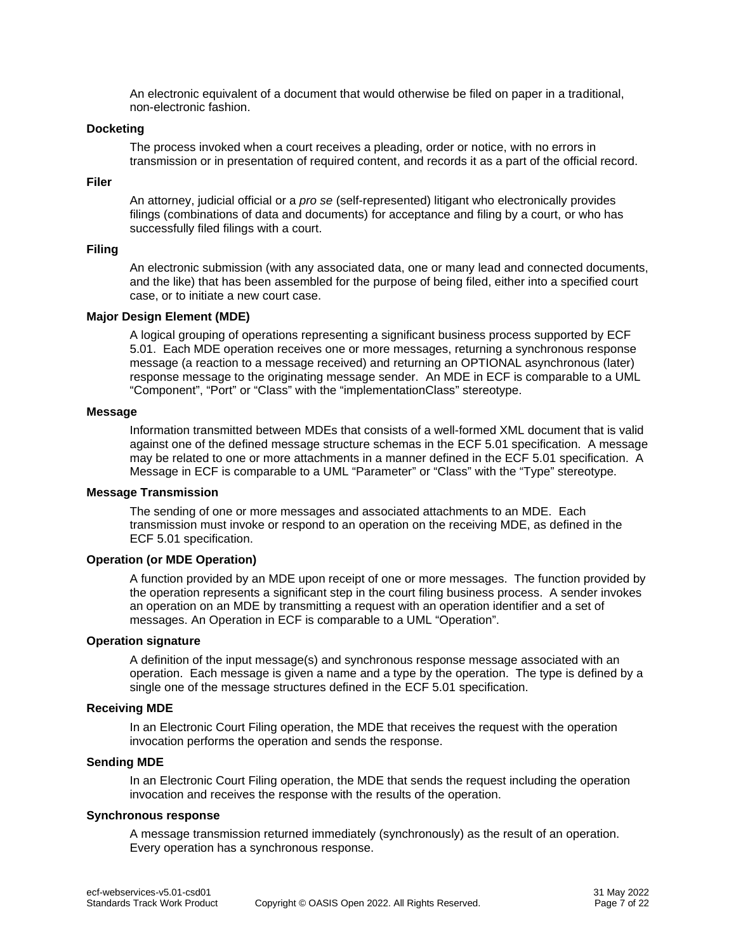An electronic equivalent of a document that would otherwise be filed on paper in a traditional, non-electronic fashion.

#### **Docketing**

The process invoked when a court receives a pleading, order or notice, with no errors in transmission or in presentation of required content, and records it as a part of the official record.

#### **Filer**

An attorney, judicial official or a *pro se* (self-represented) litigant who electronically provides filings (combinations of data and documents) for acceptance and filing by a court, or who has successfully filed filings with a court.

#### **Filing**

An electronic submission (with any associated data, one or many lead and connected documents, and the like) that has been assembled for the purpose of being filed, either into a specified court case, or to initiate a new court case.

#### **Major Design Element (MDE)**

A logical grouping of operations representing a significant business process supported by ECF 5.01. Each MDE operation receives one or more messages, returning a synchronous response message (a reaction to a message received) and returning an OPTIONAL asynchronous (later) response message to the originating message sender. An MDE in ECF is comparable to a UML "Component", "Port" or "Class" with the "implementationClass" stereotype.

#### **Message**

Information transmitted between MDEs that consists of a well-formed XML document that is valid against one of the defined message structure schemas in the ECF 5.01 specification. A message may be related to one or more attachments in a manner defined in the ECF 5.01 specification. A Message in ECF is comparable to a UML "Parameter" or "Class" with the "Type" stereotype.

#### **Message Transmission**

The sending of one or more messages and associated attachments to an MDE. Each transmission must invoke or respond to an operation on the receiving MDE, as defined in the ECF 5.01 specification.

#### **Operation (or MDE Operation)**

A function provided by an MDE upon receipt of one or more messages. The function provided by the operation represents a significant step in the court filing business process. A sender invokes an operation on an MDE by transmitting a request with an operation identifier and a set of messages. An Operation in ECF is comparable to a UML "Operation".

#### **Operation signature**

A definition of the input message(s) and synchronous response message associated with an operation. Each message is given a name and a type by the operation. The type is defined by a single one of the message structures defined in the ECF 5.01 specification.

#### **Receiving MDE**

In an Electronic Court Filing operation, the MDE that receives the request with the operation invocation performs the operation and sends the response.

#### **Sending MDE**

In an Electronic Court Filing operation, the MDE that sends the request including the operation invocation and receives the response with the results of the operation.

#### **Synchronous response**

A message transmission returned immediately (synchronously) as the result of an operation. Every operation has a synchronous response.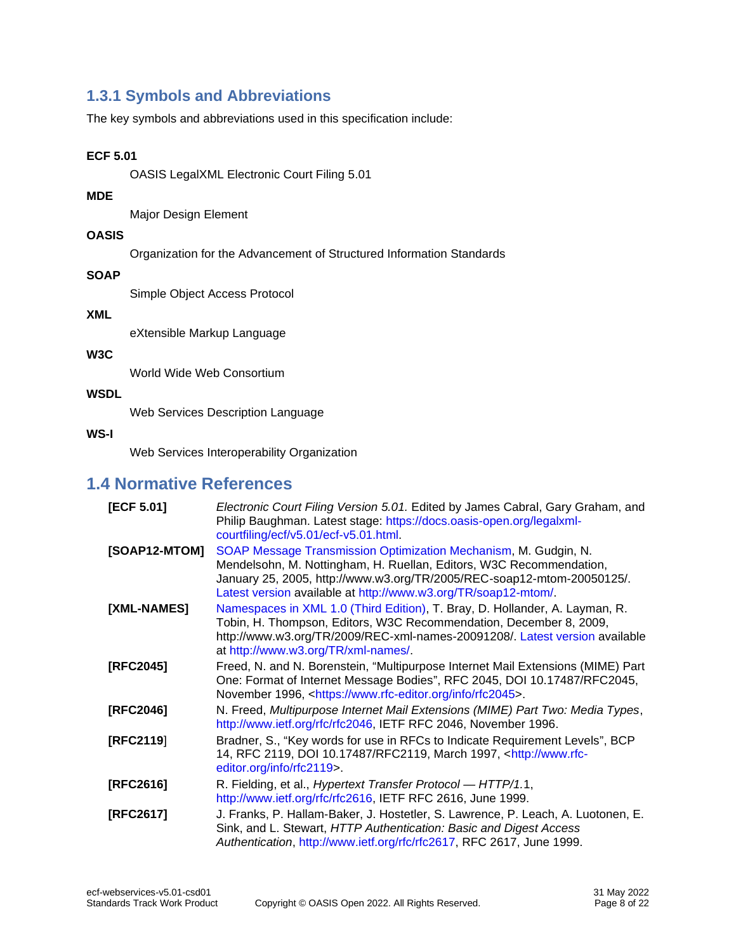### <span id="page-7-0"></span>**1.3.1 Symbols and Abbreviations**

The key symbols and abbreviations used in this specification include:

#### **ECF 5.01**

OASIS LegalXML Electronic Court Filing 5.01

#### **MDE**

Major Design Element

#### **OASIS**

Organization for the Advancement of Structured Information Standards

#### **SOAP**

Simple Object Access Protocol

#### **XML**

eXtensible Markup Language

#### **W3C**

World Wide Web Consortium

#### **WSDL**

Web Services Description Language

#### **WS-I**

Web Services Interoperability Organization

### <span id="page-7-1"></span>**1.4 Normative References**

<span id="page-7-7"></span><span id="page-7-6"></span><span id="page-7-5"></span><span id="page-7-4"></span><span id="page-7-3"></span><span id="page-7-2"></span>

| [ECF 5.01]    | Electronic Court Filing Version 5.01. Edited by James Cabral, Gary Graham, and<br>Philip Baughman. Latest stage: https://docs.oasis-open.org/legalxml-<br>courtfiling/ecf/v5.01/ecf-v5.01.html                                                                                     |  |  |
|---------------|------------------------------------------------------------------------------------------------------------------------------------------------------------------------------------------------------------------------------------------------------------------------------------|--|--|
| [SOAP12-MTOM] | SOAP Message Transmission Optimization Mechanism, M. Gudgin, N.<br>Mendelsohn, M. Nottingham, H. Ruellan, Editors, W3C Recommendation,<br>January 25, 2005, http://www.w3.org/TR/2005/REC-soap12-mtom-20050125/.<br>Latest version available at http://www.w3.org/TR/soap12-mtom/. |  |  |
| [XML-NAMES]   | Namespaces in XML 1.0 (Third Edition), T. Bray, D. Hollander, A. Layman, R.<br>Tobin, H. Thompson, Editors, W3C Recommendation, December 8, 2009,<br>http://www.w3.org/TR/2009/REC-xml-names-20091208/. Latest version available<br>at http://www.w3.org/TR/xml-names/.            |  |  |
| [RFC2045]     | Freed, N. and N. Borenstein, "Multipurpose Internet Mail Extensions (MIME) Part<br>One: Format of Internet Message Bodies", RFC 2045, DOI 10.17487/RFC2045,<br>November 1996, <https: info="" rfc2045="" www.rfc-editor.org="">.</https:>                                          |  |  |
| [RFC2046]     | N. Freed, Multipurpose Internet Mail Extensions (MIME) Part Two: Media Types,<br>http://www.ietf.org/rfc/rfc2046, IETF RFC 2046, November 1996.                                                                                                                                    |  |  |
| [RFC2119]     | Bradner, S., "Key words for use in RFCs to Indicate Requirement Levels", BCP<br>14, RFC 2119, DOI 10.17487/RFC2119, March 1997, <http: www.rfc-<br="">editor.org/info/rfc2119&gt;.</http:>                                                                                         |  |  |
| [RFC2616]     | R. Fielding, et al., <i>Hypertext Transfer Protocol — HTTP/1.1</i> ,<br>http://www.ietf.org/rfc/rfc2616, IETF RFC 2616, June 1999.                                                                                                                                                 |  |  |
| [RFC2617]     | J. Franks, P. Hallam-Baker, J. Hostetler, S. Lawrence, P. Leach, A. Luotonen, E.<br>Sink, and L. Stewart, HTTP Authentication: Basic and Digest Access<br>Authentication, http://www.ietf.org/rfc/rfc2617, RFC 2617, June 1999.                                                    |  |  |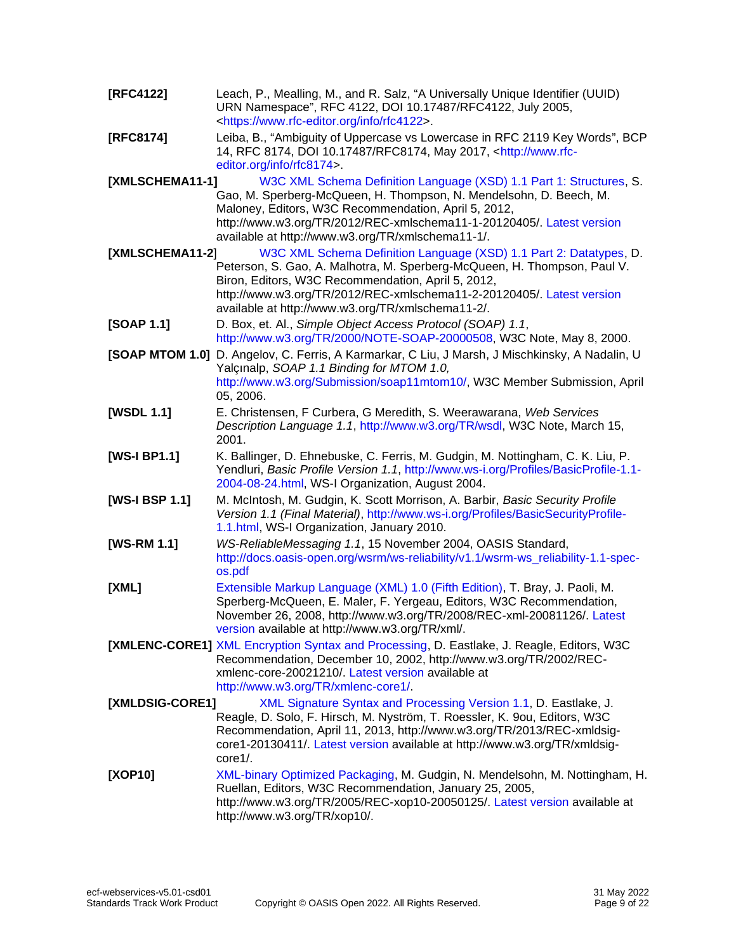<span id="page-8-11"></span><span id="page-8-10"></span><span id="page-8-9"></span><span id="page-8-8"></span><span id="page-8-7"></span><span id="page-8-6"></span><span id="page-8-5"></span><span id="page-8-4"></span><span id="page-8-3"></span><span id="page-8-2"></span><span id="page-8-1"></span><span id="page-8-0"></span>

| [RFC4122]       | Leach, P., Mealling, M., and R. Salz, "A Universally Unique Identifier (UUID)<br>URN Namespace", RFC 4122, DOI 10.17487/RFC4122, July 2005,<br><https: info="" rfc4122="" www.rfc-editor.org="">.</https:>                                                                                                                         |  |  |  |
|-----------------|------------------------------------------------------------------------------------------------------------------------------------------------------------------------------------------------------------------------------------------------------------------------------------------------------------------------------------|--|--|--|
| [RFC8174]       | Leiba, B., "Ambiguity of Uppercase vs Lowercase in RFC 2119 Key Words", BCP<br>14, RFC 8174, DOI 10.17487/RFC8174, May 2017, <http: www.rfc-<br="">editor.org/info/rfc8174&gt;.</http:>                                                                                                                                            |  |  |  |
| [XMLSCHEMA11-1] | W3C XML Schema Definition Language (XSD) 1.1 Part 1: Structures, S.<br>Gao, M. Sperberg-McQueen, H. Thompson, N. Mendelsohn, D. Beech, M.<br>Maloney, Editors, W3C Recommendation, April 5, 2012,<br>http://www.w3.org/TR/2012/REC-xmlschema11-1-20120405/. Latest version<br>available at http://www.w3.org/TR/xmlschema11-1/.    |  |  |  |
| [XMLSCHEMA11-2] | W3C XML Schema Definition Language (XSD) 1.1 Part 2: Datatypes, D.<br>Peterson, S. Gao, A. Malhotra, M. Sperberg-McQueen, H. Thompson, Paul V.<br>Biron, Editors, W3C Recommendation, April 5, 2012,<br>http://www.w3.org/TR/2012/REC-xmlschema11-2-20120405/. Latest version<br>available at http://www.w3.org/TR/xmlschema11-2/. |  |  |  |
| [SOAP 1.1]      | D. Box, et. Al., Simple Object Access Protocol (SOAP) 1.1,<br>http://www.w3.org/TR/2000/NOTE-SOAP-20000508, W3C Note, May 8, 2000.                                                                                                                                                                                                 |  |  |  |
| [SOAP MTOM 1.0] | D. Angelov, C. Ferris, A Karmarkar, C Liu, J Marsh, J Mischkinsky, A Nadalin, U<br>Yalçınalp, SOAP 1.1 Binding for MTOM 1.0,<br>http://www.w3.org/Submission/soap11mtom10/, W3C Member Submission, April<br>05, 2006.                                                                                                              |  |  |  |
| [WSDL 1.1]      | E. Christensen, F Curbera, G Meredith, S. Weerawarana, Web Services<br>Description Language 1.1, http://www.w3.org/TR/wsdl, W3C Note, March 15,<br>2001.                                                                                                                                                                           |  |  |  |
| [WS-I BP1.1]    | K. Ballinger, D. Ehnebuske, C. Ferris, M. Gudgin, M. Nottingham, C. K. Liu, P.<br>Yendluri, Basic Profile Version 1.1, http://www.ws-i.org/Profiles/BasicProfile-1.1-<br>2004-08-24.html, WS-I Organization, August 2004.                                                                                                          |  |  |  |
| [WS-I BSP 1.1]  | M. McIntosh, M. Gudgin, K. Scott Morrison, A. Barbir, Basic Security Profile<br>Version 1.1 (Final Material), http://www.ws-i.org/Profiles/BasicSecurityProfile-<br>1.1.html, WS-I Organization, January 2010.                                                                                                                     |  |  |  |
| [WS-RM 1.1]     | WS-ReliableMessaging 1.1, 15 November 2004, OASIS Standard,<br>http://docs.oasis-open.org/wsrm/ws-reliability/v1.1/wsrm-ws reliability-1.1-spec-<br>os.pdf                                                                                                                                                                         |  |  |  |
| [XML]           | Extensible Markup Language (XML) 1.0 (Fifth Edition), T. Bray, J. Paoli, M.<br>Sperberg-McQueen, E. Maler, F. Yergeau, Editors, W3C Recommendation,<br>November 26, 2008, http://www.w3.org/TR/2008/REC-xml-20081126/. Latest<br>version available at http://www.w3.org/TR/xml/.                                                   |  |  |  |
|                 | [XMLENC-CORE1] XML Encryption Syntax and Processing, D. Eastlake, J. Reagle, Editors, W3C<br>Recommendation, December 10, 2002, http://www.w3.org/TR/2002/REC-<br>xmlenc-core-20021210/. Latest version available at<br>http://www.w3.org/TR/xmlenc-core1/.                                                                        |  |  |  |
| [XMLDSIG-CORE1] | XML Signature Syntax and Processing Version 1.1, D. Eastlake, J.<br>Reagle, D. Solo, F. Hirsch, M. Nyström, T. Roessler, K. 9ou, Editors, W3C<br>Recommendation, April 11, 2013, http://www.w3.org/TR/2013/REC-xmldsig-<br>core1-20130411/. Latest version available at http://www.w3.org/TR/xmldsig-<br>core1/.                   |  |  |  |
| [XOP10]         | XML-binary Optimized Packaging, M. Gudgin, N. Mendelsohn, M. Nottingham, H.<br>Ruellan, Editors, W3C Recommendation, January 25, 2005,<br>http://www.w3.org/TR/2005/REC-xop10-20050125/. Latest version available at<br>http://www.w3.org/TR/xop10/.                                                                               |  |  |  |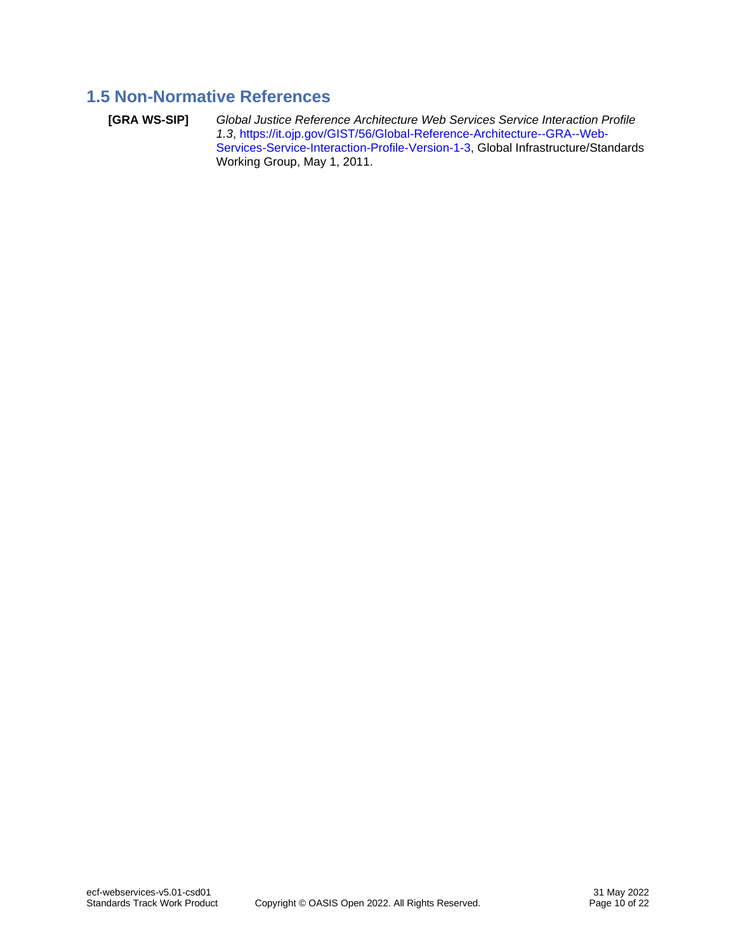# <span id="page-9-0"></span>**1.5 Non-Normative References**

<span id="page-9-1"></span>**[GRA WS-SIP]** *Global Justice Reference Architecture Web Services Service Interaction Profile 1.3*, [https://it.ojp.gov/GIST/56/Global-Reference-Architecture--GRA--Web-](https://it.ojp.gov/GIST/56/Global-Reference-Architecture--GRA--Web-Services-Service-Interaction-Profile-Version-1-3)[Services-Service-Interaction-Profile-Version-1-3,](https://it.ojp.gov/GIST/56/Global-Reference-Architecture--GRA--Web-Services-Service-Interaction-Profile-Version-1-3) Global Infrastructure/Standards Working Group, May 1, 2011.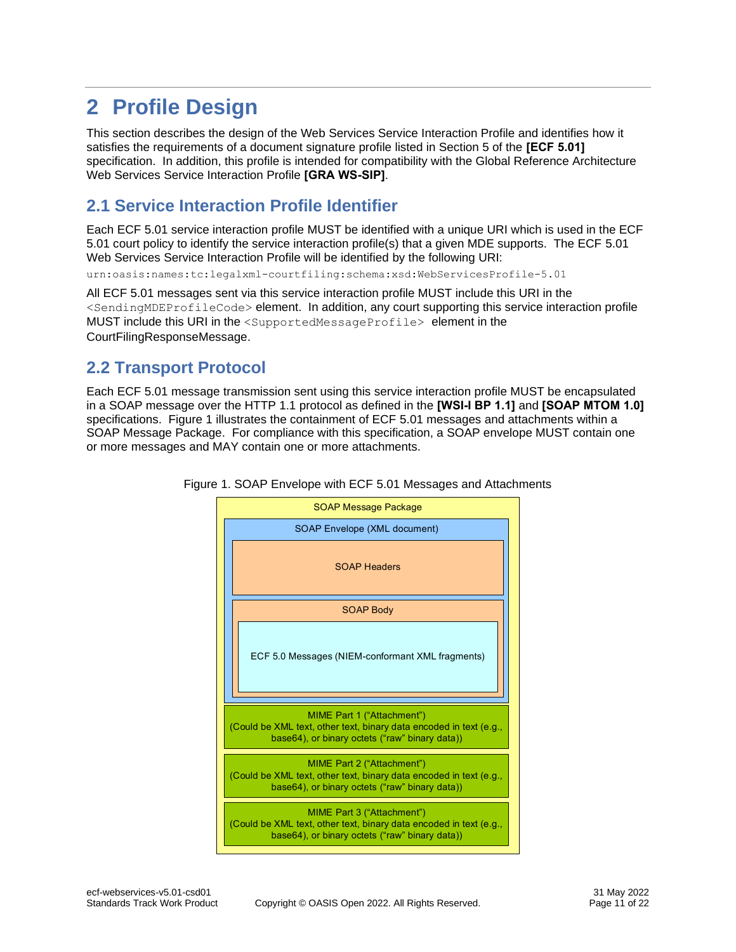# <span id="page-10-0"></span>**2 Profile Design**

This section describes the design of the Web Services Service Interaction Profile and identifies how it satisfies the requirements of a document signature profile listed in Section 5 of the **[\[ECF 5.01\]](#page-7-2)** specification. In addition, this profile is intended for compatibility with the Global Reference Architecture Web Services Service Interaction Profile **[\[GRA WS-SIP\]](#page-9-1)**.

# <span id="page-10-1"></span>**2.1 Service Interaction Profile Identifier**

Each ECF 5.01 service interaction profile MUST be identified with a unique URI which is used in the ECF 5.01 court policy to identify the service interaction profile(s) that a given MDE supports. The ECF 5.01 Web Services Service Interaction Profile will be identified by the following URI:

urn:oasis:names:tc:legalxml-courtfiling:schema:xsd:WebServicesProfile-5.01

All ECF 5.01 messages sent via this service interaction profile MUST include this URI in the <SendingMDEProfileCode> element. In addition, any court supporting this service interaction profile MUST include this URI in the <SupportedMessageProfile> element in the CourtFilingResponseMessage.

# <span id="page-10-2"></span>**2.2 Transport Protocol**

Each ECF 5.01 message transmission sent using this service interaction profile MUST be encapsulated in a SOAP message over the HTTP 1.1 protocol as defined in the **[\[WSI-I BP 1.1\]](#page-8-0)** and **[\[SOAP MTOM 1.0\]](#page-8-8)** specifications. Figure 1 illustrates the containment of ECF 5.01 messages and attachments within a SOAP Message Package. For compliance with this specification, a SOAP envelope MUST contain one or more messages and MAY contain one or more attachments.



Figure 1. SOAP Envelope with ECF 5.01 Messages and Attachments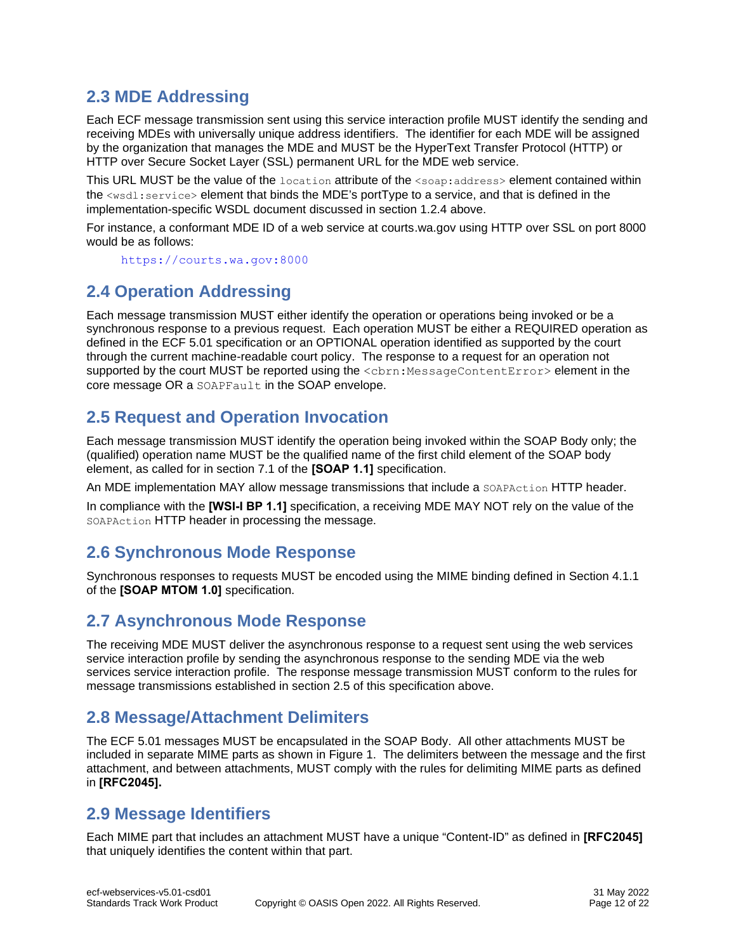# <span id="page-11-0"></span>**2.3 MDE Addressing**

Each ECF message transmission sent using this service interaction profile MUST identify the sending and receiving MDEs with universally unique address identifiers. The identifier for each MDE will be assigned by the organization that manages the MDE and MUST be the HyperText Transfer Protocol (HTTP) or HTTP over Secure Socket Layer (SSL) permanent URL for the MDE web service.

This URL MUST be the value of the location attribute of the <soap: address> element contained within the <wsdl:service> element that binds the MDE's portType to a service, and that is defined in the implementation-specific WSDL document discussed in section 1.2.4 above.

For instance, a conformant MDE ID of a web service at courts.wa.gov using HTTP over SSL on port 8000 would be as follows:

[https://courts.wa.gov:8000](https://courts.wa.gov:8000/)

# <span id="page-11-1"></span>**2.4 Operation Addressing**

Each message transmission MUST either identify the operation or operations being invoked or be a synchronous response to a previous request. Each operation MUST be either a REQUIRED operation as defined in the ECF 5.01 specification or an OPTIONAL operation identified as supported by the court through the current machine-readable court policy. The response to a request for an operation not supported by the court MUST be reported using the <cbrn:MessageContentError> element in the core message OR a SOAPFault in the SOAP envelope.

# <span id="page-11-2"></span>**2.5 Request and Operation Invocation**

Each message transmission MUST identify the operation being invoked within the SOAP Body only; the (qualified) operation name MUST be the qualified name of the first child element of the SOAP body element, as called for in section 7.1 of the **[\[SOAP 1.1\]](#page-8-5)** specification.

An MDE implementation MAY allow message transmissions that include a soapaction HTTP header.

In compliance with the **[\[WSI-I BP 1.1\]](#page-8-0)** specification, a receiving MDE MAY NOT rely on the value of the SOAPAction HTTP header in processing the message.

# <span id="page-11-3"></span>**2.6 Synchronous Mode Response**

Synchronous responses to requests MUST be encoded using the MIME binding defined in Section 4.1.1 of the **[\[SOAP MTOM 1.0\]](#page-8-8)** specification.

# <span id="page-11-4"></span>**2.7 Asynchronous Mode Response**

The receiving MDE MUST deliver the asynchronous response to a request sent using the web services service interaction profile by sending the asynchronous response to the sending MDE via the web services service interaction profile. The response message transmission MUST conform to the rules for message transmissions established in section 2.5 of this specification above.

### <span id="page-11-5"></span>**2.8 Message/Attachment Delimiters**

The ECF 5.01 messages MUST be encapsulated in the SOAP Body. All other attachments MUST be included in separate MIME parts as shown in Figure 1. The delimiters between the message and the first attachment, and between attachments, MUST comply with the rules for delimiting MIME parts as defined in **[\[RFC2045\]](#page-7-6).**

### <span id="page-11-6"></span>**2.9 Message Identifiers**

Each MIME part that includes an attachment MUST have a unique "Content-ID" as defined in **[\[RFC2045\]](#page-7-6)** that uniquely identifies the content within that part.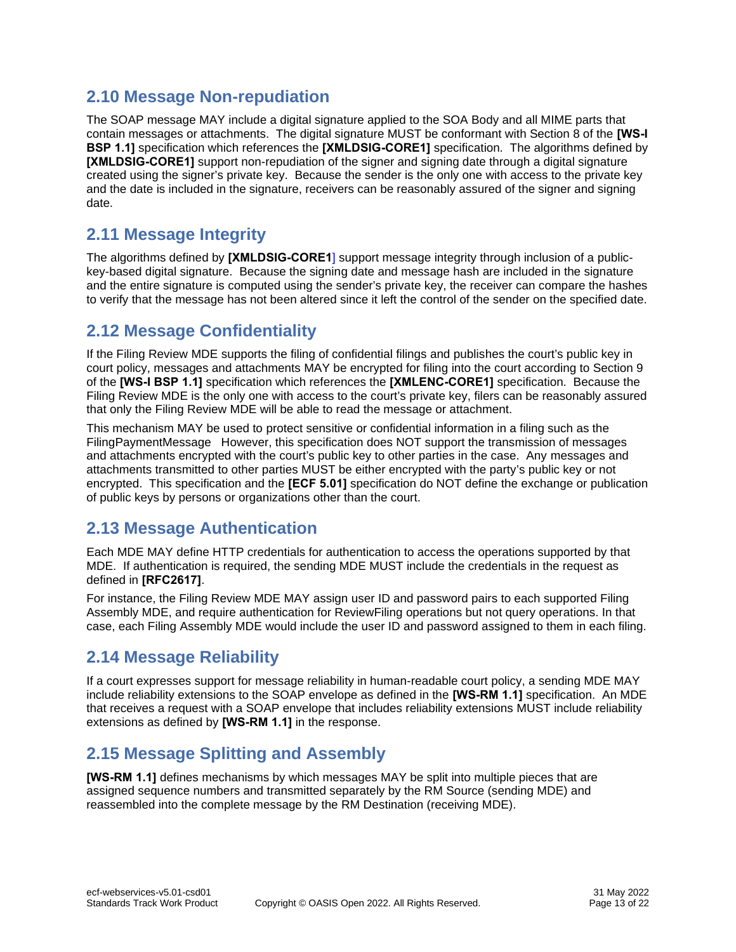# <span id="page-12-0"></span>**2.10 Message Non-repudiation**

The SOAP message MAY include a digital signature applied to the SOA Body and all MIME parts that contain messages or attachments. The digital signature MUST be conformant with Section 8 of the **[\[WS-I](#page-8-1)  [BSP 1.1\]](#page-8-1)** specification which references the **[\[XMLDSIG-CORE1\]](#page-8-7)** specification. The algorithms defined by **[\[XMLDSIG-CORE1\]](#page-8-7)** support non-repudiation of the signer and signing date through a digital signature created using the signer's private key. Because the sender is the only one with access to the private key and the date is included in the signature, receivers can be reasonably assured of the signer and signing date.

# <span id="page-12-1"></span>**2.11 Message Integrity**

The algorithms defined by **[\[XMLDSIG-CORE1](#page-8-7)**] support message integrity through inclusion of a publickey-based digital signature. Because the signing date and message hash are included in the signature and the entire signature is computed using the sender's private key, the receiver can compare the hashes to verify that the message has not been altered since it left the control of the sender on the specified date.

# <span id="page-12-2"></span>**2.12 Message Confidentiality**

If the Filing Review MDE supports the filing of confidential filings and publishes the court's public key in court policy, messages and attachments MAY be encrypted for filing into the court according to Section 9 of the **[\[WS-I BSP 1.1\]](#page-8-1)** specification which references the **[\[XMLENC-CORE1\]](#page-8-11)** specification. Because the Filing Review MDE is the only one with access to the court's private key, filers can be reasonably assured that only the Filing Review MDE will be able to read the message or attachment.

This mechanism MAY be used to protect sensitive or confidential information in a filing such as the FilingPaymentMessage However, this specification does NOT support the transmission of messages and attachments encrypted with the court's public key to other parties in the case. Any messages and attachments transmitted to other parties MUST be either encrypted with the party's public key or not encrypted. This specification and the **[\[ECF 5.01\]](#page-7-2)** specification do NOT define the exchange or publication of public keys by persons or organizations other than the court.

# <span id="page-12-3"></span>**2.13 Message Authentication**

Each MDE MAY define HTTP credentials for authentication to access the operations supported by that MDE. If authentication is required, the sending MDE MUST include the credentials in the request as defined in **[\[RFC2617\]](#page-7-7)**.

For instance, the Filing Review MDE MAY assign user ID and password pairs to each supported Filing Assembly MDE, and require authentication for ReviewFiling operations but not query operations. In that case, each Filing Assembly MDE would include the user ID and password assigned to them in each filing.

# <span id="page-12-4"></span>**2.14 Message Reliability**

If a court expresses support for message reliability in human-readable court policy, a sending MDE MAY include reliability extensions to the SOAP envelope as defined in the **[\[WS-RM 1.1\]](#page-8-2)** specification. An MDE that receives a request with a SOAP envelope that includes reliability extensions MUST include reliability extensions as defined by **[\[WS-RM 1.1\]](#page-8-2)** in the response.

# <span id="page-12-5"></span>**2.15 Message Splitting and Assembly**

**[\[WS-RM 1.1\]](#page-8-2)** defines mechanisms by which messages MAY be split into multiple pieces that are assigned sequence numbers and transmitted separately by the RM Source (sending MDE) and reassembled into the complete message by the RM Destination (receiving MDE).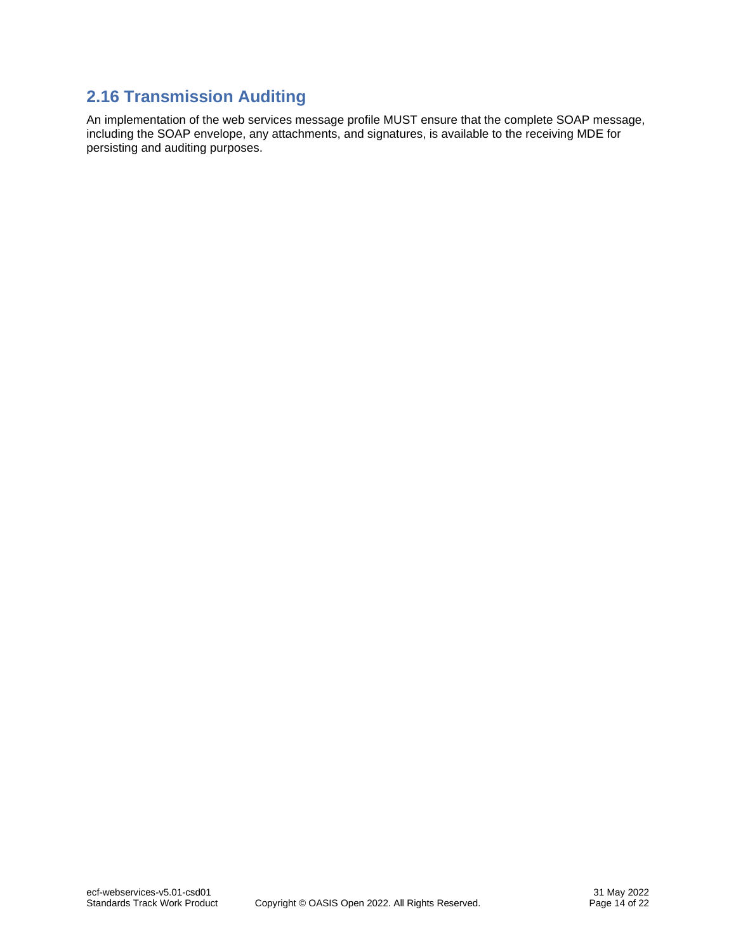# <span id="page-13-0"></span>**2.16 Transmission Auditing**

An implementation of the web services message profile MUST ensure that the complete SOAP message, including the SOAP envelope, any attachments, and signatures, is available to the receiving MDE for persisting and auditing purposes.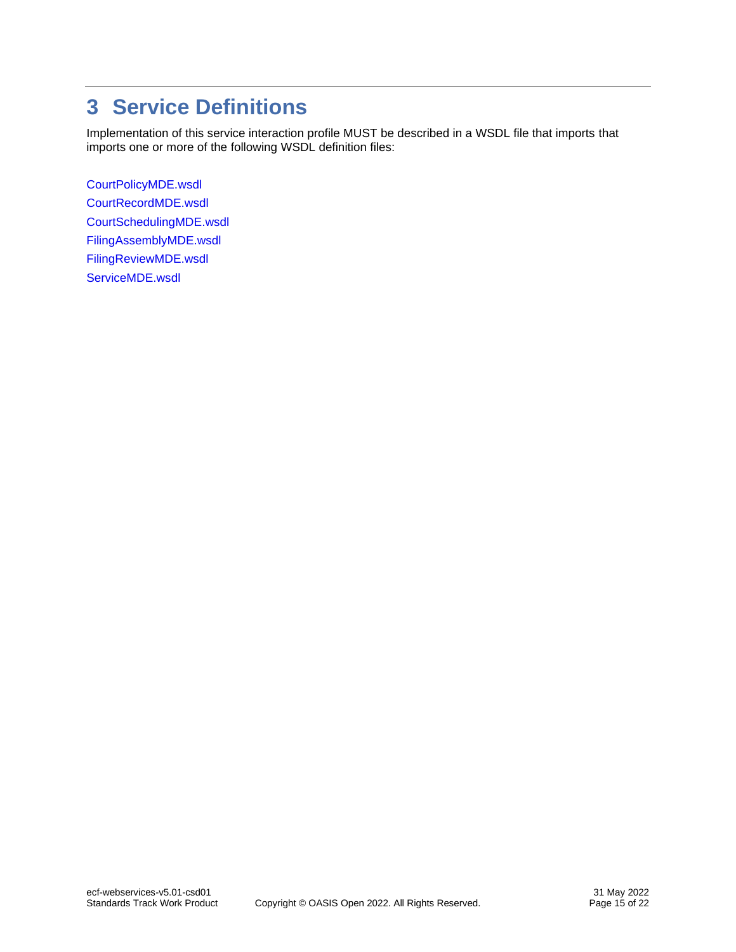# <span id="page-14-0"></span>**3 Service Definitions**

Implementation of this service interaction profile MUST be described in a WSDL file that imports that imports one or more of the following WSDL definition files:

[CourtPolicyMDE.wsdl](schema/CourtPolicyMDE.wsdl) [CourtRecordMDE.wsdl](schema/CourtRecordMDE.wsdl) [CourtSchedulingMDE.wsdl](schema/CourtSchedulingMDE.wsdl) [FilingAssemblyMDE.wsdl](schema/FilingAssemblyMDE.wsdl) [FilingReviewMDE.wsdl](schema/FilingReviewMDE.wsdl) [ServiceMDE.wsdl](schema/ServiceMDE.wsdl)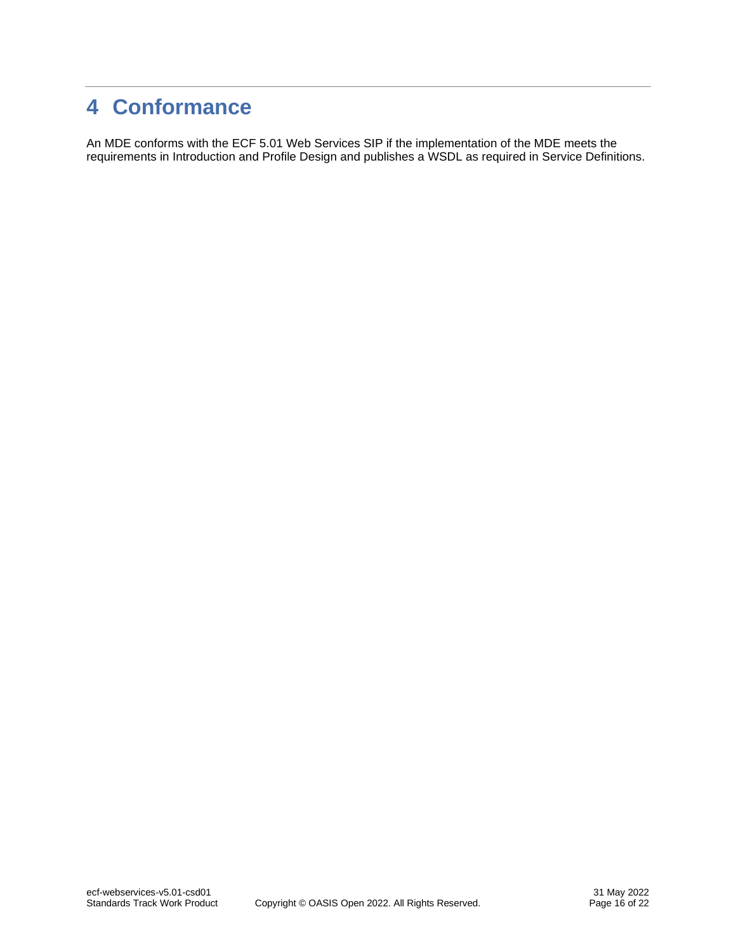# <span id="page-15-0"></span>**4 Conformance**

An MDE conforms with the ECF 5.01 Web Services SIP if the implementation of the MDE meets the requirements in [Introduction](#page-3-0) and [Profile Design](#page-10-0) and publishes a WSDL as required in [Service Definitions.](#page-14-0)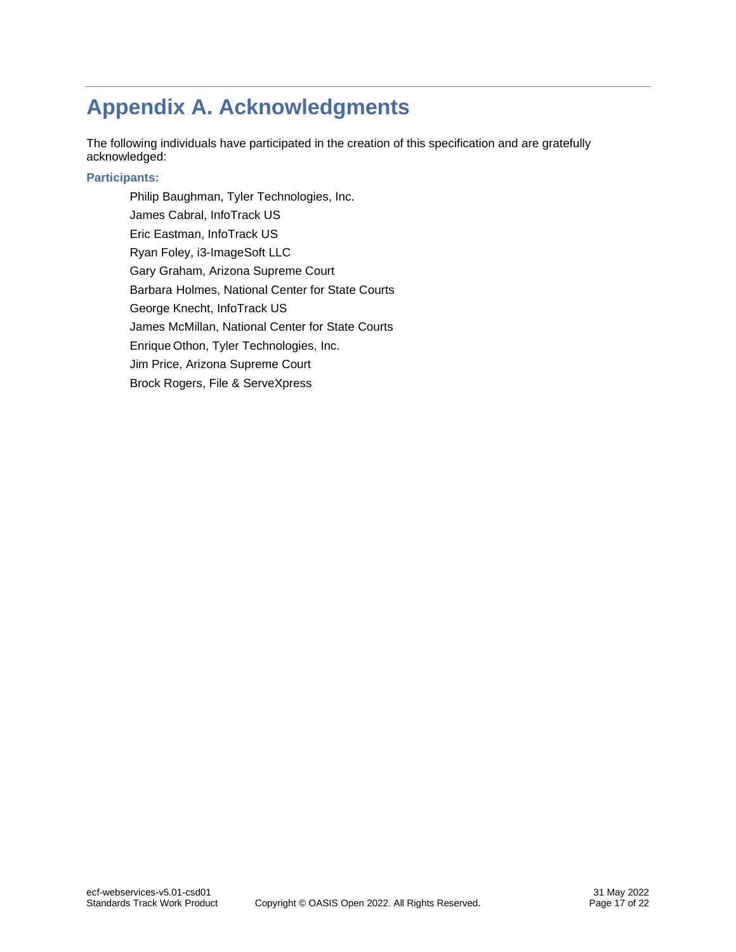# <span id="page-16-0"></span>**Appendix A. Acknowledgments**

The following individuals have participated in the creation of this specification and are gratefully acknowledged:

#### **Participants:**

Philip Baughman, Tyler Technologies, Inc. James Cabral, InfoTrack US Eric Eastman, InfoTrack US Ryan Foley, i3-ImageSoft LLC Gary Graham, Arizona Supreme Court Barbara Holmes, National Center for State Courts George Knecht, InfoTrack US James McMillan, National Center for State Courts Enrique Othon, Tyler Technologies, Inc. Jim Price, Arizona Supreme Court Brock Rogers, File & ServeXpress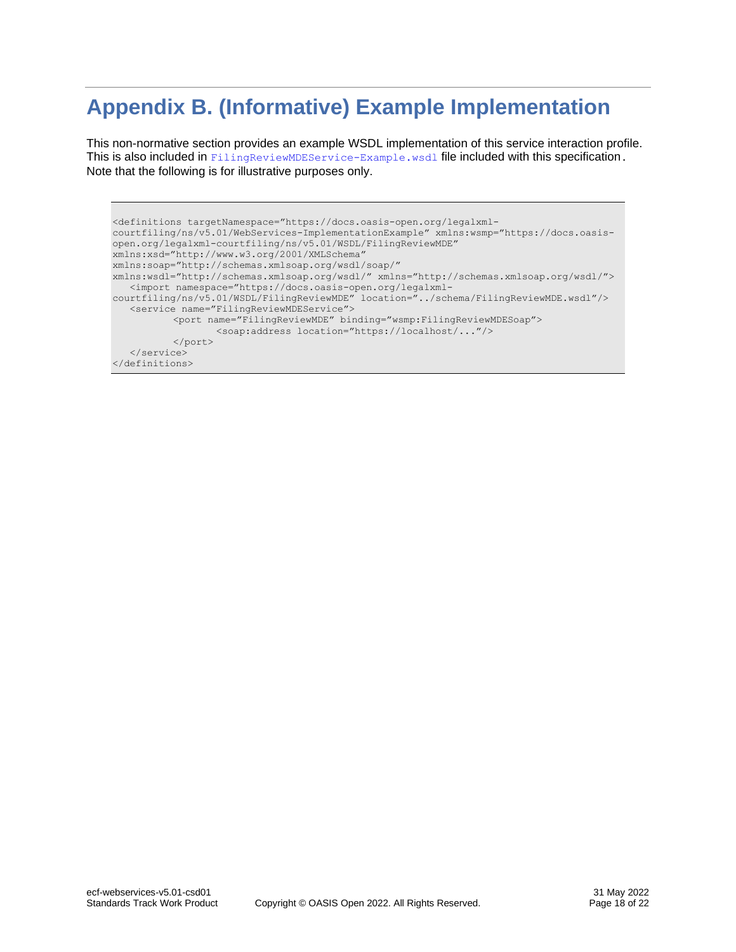# <span id="page-17-0"></span>**Appendix B. (Informative) Example Implementation**

This non-normative section provides an example WSDL implementation of this service interaction profile. This is also included in [FilingReviewMDEService-Example.wsdl](examples/FilingReviewMDEService-Example.wsdl) file included with this specification. Note that the following is for illustrative purposes only.

```
<definitions targetNamespace="https://docs.oasis-open.org/legalxml-
courtfiling/ns/v5.01/WebServices-ImplementationExample" xmlns:wsmp="https://docs.oasis-
open.org/legalxml-courtfiling/ns/v5.01/WSDL/FilingReviewMDE"
xmlns:xsd="http://www.w3.org/2001/XMLSchema"
xmlns:soap="http://schemas.xmlsoap.org/wsdl/soap/"
xmlns:wsdl="http://schemas.xmlsoap.org/wsdl/" xmlns="http://schemas.xmlsoap.org/wsdl/">
   <import namespace="https://docs.oasis-open.org/legalxml-
courtfiling/ns/v5.01/WSDL/FilingReviewMDE" location="../schema/FilingReviewMDE.wsdl"/>
   <service name="FilingReviewMDEService">
          <port name="FilingReviewMDE" binding="wsmp:FilingReviewMDESoap">
                  <soap:address location="https://localhost/..."/>
          \langle/port\rangle</service>
</definitions>
```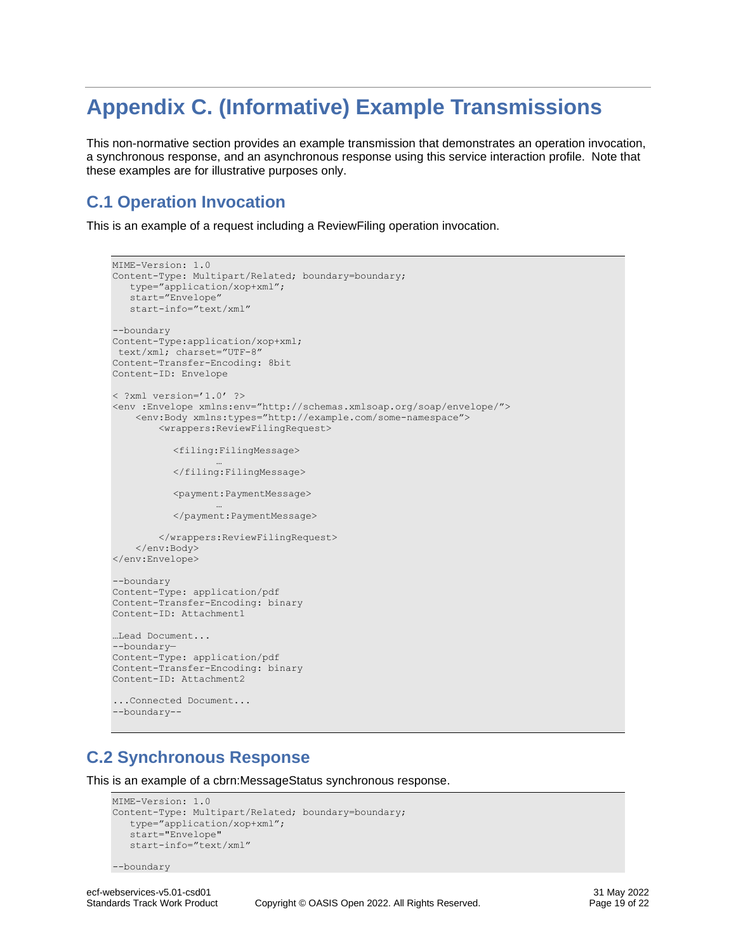# <span id="page-18-0"></span>**Appendix C. (Informative) Example Transmissions**

This non-normative section provides an example transmission that demonstrates an operation invocation, a synchronous response, and an asynchronous response using this service interaction profile. Note that these examples are for illustrative purposes only.

# <span id="page-18-1"></span>**C.1 Operation Invocation**

This is an example of a request including a ReviewFiling operation invocation.

```
MIME-Version: 1.0
Content-Type: Multipart/Related; boundary=boundary; 
  type="application/xop+xml";
    start="Envelope"
   start-info="text/xml"
--boundary
Content-Type:application/xop+xml;
text/xml; charset="UTF-8"
Content-Transfer-Encoding: 8bit
Content-ID: Envelope
< ?xml version='1.0' ?>
<env :Envelope xmlns:env="http://schemas.xmlsoap.org/soap/envelope/">
     <env:Body xmlns:types="http://example.com/some-namespace">
         <wrappers:ReviewFilingRequest>
            <filing:FilingMessage>
                   …
           </filing:FilingMessage>
           <payment:PaymentMessage>
                   …
          </payment:PaymentMessage>
         </wrappers:ReviewFilingRequest>
     </env:Body>
</env:Envelope>
--boundary
Content-Type: application/pdf
Content-Transfer-Encoding: binary
Content-ID: Attachment1
…Lead Document...
--boundary—
Content-Type: application/pdf
Content-Transfer-Encoding: binary
Content-ID: Attachment2
...Connected Document...
--boundary--
```
# <span id="page-18-2"></span>**C.2 Synchronous Response**

This is an example of a cbrn:MessageStatus synchronous response.

```
MIME-Version: 1.0
Content-Type: Multipart/Related; boundary=boundary; 
  type="application/xop+xml";
    start="Envelope"
   start-info="text/xml"
```

```
--boundary
```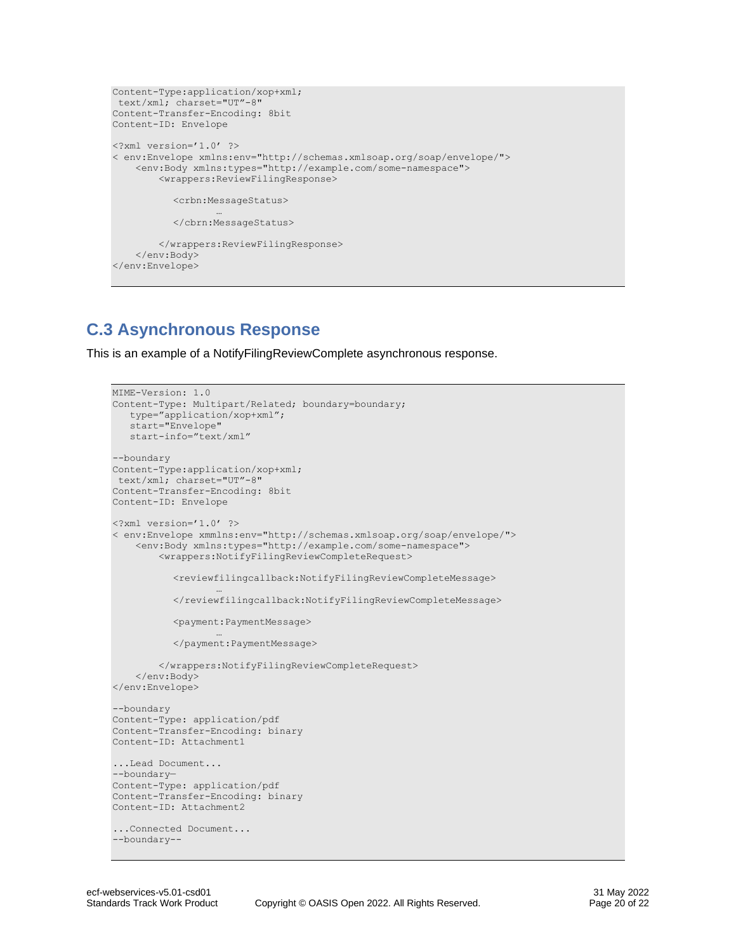```
Content-Type:application/xop+xml;
text/xml; charset="UT"-8"
Content-Transfer-Encoding: 8bit
Content-ID: Envelope
<?xml version='1.0' ?>
< env:Envelope xmlns:env="http://schemas.xmlsoap.org/soap/envelope/">
     <env:Body xmlns:types="http://example.com/some-namespace">
         <wrappers:ReviewFilingResponse>
          <crbn:MessageStatus>
                   …
          </cbrn:MessageStatus>
         </wrappers:ReviewFilingResponse>
     </env:Body>
</env:Envelope>
```
# <span id="page-19-0"></span>**C.3 Asynchronous Response**

This is an example of a NotifyFilingReviewComplete asynchronous response.

```
MIME-Version: 1.0
Content-Type: Multipart/Related; boundary=boundary; 
  type="application/xop+xml";
    start="Envelope"
   start-info="text/xml"
--boundary
Content-Type:application/xop+xml;
text/xml; charset="UT"-8"
Content-Transfer-Encoding: 8bit
Content-ID: Envelope
<?xml version='1.0' ?>
< env:Envelope xmmlns:env="http://schemas.xmlsoap.org/soap/envelope/">
     <env:Body xmlns:types="http://example.com/some-namespace">
         <wrappers:NotifyFilingReviewCompleteRequest>
           <reviewfilingcallback:NotifyFilingReviewCompleteMessage>
                  …
          </reviewfilingcallback:NotifyFilingReviewCompleteMessage>
          <payment:PaymentMessage>
                  …
          </payment:PaymentMessage>
         </wrappers:NotifyFilingReviewCompleteRequest>
     </env:Body>
</env:Envelope>
--boundary
Content-Type: application/pdf
Content-Transfer-Encoding: binary
Content-ID: Attachment1
...Lead Document...
--boundary—
Content-Type: application/pdf
Content-Transfer-Encoding: binary
Content-ID: Attachment2
...Connected Document...
--boundary--
```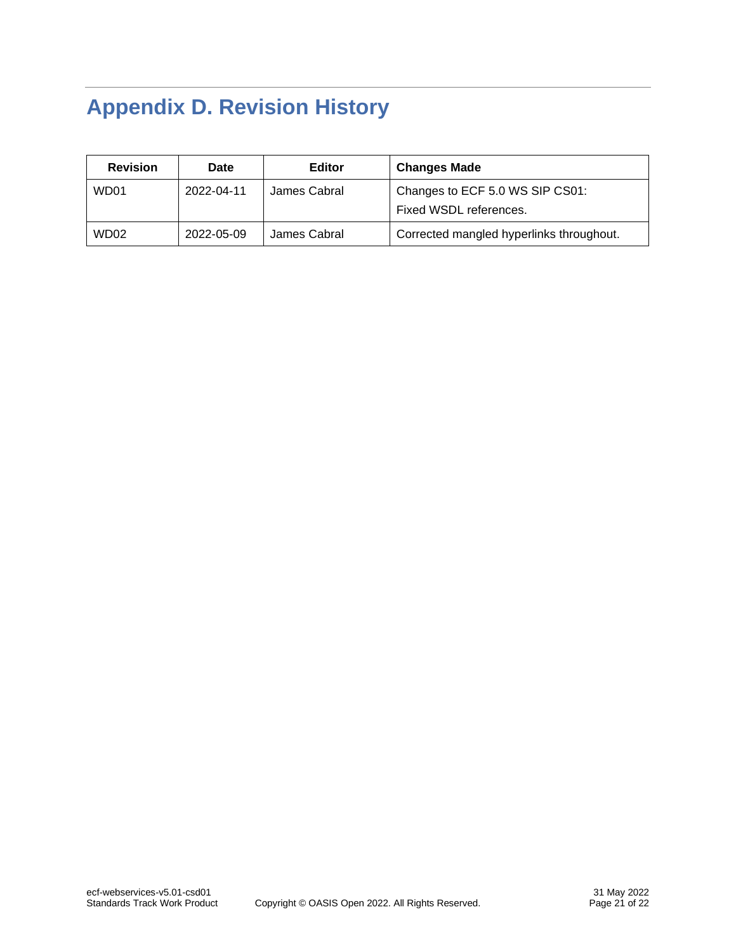# <span id="page-20-0"></span>**Appendix D. Revision History**

| <b>Revision</b>  | Date       | <b>Editor</b> | <b>Changes Made</b>                      |
|------------------|------------|---------------|------------------------------------------|
| WD01             | 2022-04-11 | James Cabral  | Changes to ECF 5.0 WS SIP CS01:          |
|                  |            |               | Fixed WSDL references.                   |
| WD <sub>02</sub> | 2022-05-09 | James Cabral  | Corrected mangled hyperlinks throughout. |